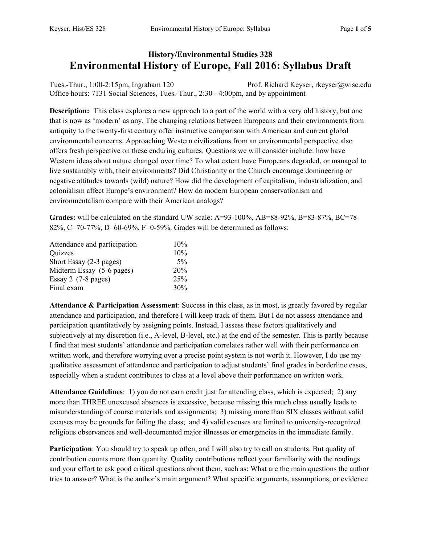# **History/Environmental Studies 328 Environmental History of Europe, Fall 2016: Syllabus Draft**

Tues.-Thur., 1:00-2:15pm, Ingraham 120 Prof. Richard Keyser, rkeyser@wisc.edu Office hours: 7131 Social Sciences, Tues.-Thur., 2:30 - 4:00pm, and by appointment

**Description:** This class explores a new approach to a part of the world with a very old history, but one that is now as 'modern' as any. The changing relations between Europeans and their environments from antiquity to the twenty-first century offer instructive comparison with American and current global environmental concerns. Approaching Western civilizations from an environmental perspective also offers fresh perspective on these enduring cultures. Questions we will consider include: how have Western ideas about nature changed over time? To what extent have Europeans degraded, or managed to live sustainably with, their environments? Did Christianity or the Church encourage domineering or negative attitudes towards (wild) nature? How did the development of capitalism, industrialization, and colonialism affect Europe's environment? How do modern European conservationism and environmentalism compare with their American analogs?

**Grades:** will be calculated on the standard UW scale: A=93-100%, AB=88-92%, B=83-87%, BC=78-82%, C=70-77%, D=60-69%, F=0-59%. Grades will be determined as follows:

| Attendance and participation | 10% |
|------------------------------|-----|
| Quizzes                      | 10% |
| Short Essay (2-3 pages)      | 5%  |
| Midterm Essay (5-6 pages)    | 20% |
| Essay 2 $(7-8$ pages)        | 25% |
| Final exam                   | 30% |

**Attendance & Participation Assessment**: Success in this class, as in most, is greatly favored by regular attendance and participation, and therefore I will keep track of them. But I do not assess attendance and participation quantitatively by assigning points. Instead, I assess these factors qualitatively and subjectively at my discretion (i.e., A-level, B-level, etc.) at the end of the semester. This is partly because I find that most students' attendance and participation correlates rather well with their performance on written work, and therefore worrying over a precise point system is not worth it. However, I do use my qualitative assessment of attendance and participation to adjust students' final grades in borderline cases, especially when a student contributes to class at a level above their performance on written work.

**Attendance Guidelines**: 1) you do not earn credit just for attending class, which is expected; 2) any more than THREE unexcused absences is excessive, because missing this much class usually leads to misunderstanding of course materials and assignments; 3) missing more than SIX classes without valid excuses may be grounds for failing the class; and 4) valid excuses are limited to university-recognized religious observances and well-documented major illnesses or emergencies in the immediate family.

**Participation**: You should try to speak up often, and I will also try to call on students. But quality of contribution counts more than quantity. Quality contributions reflect your familiarity with the readings and your effort to ask good critical questions about them, such as: What are the main questions the author tries to answer? What is the author's main argument? What specific arguments, assumptions, or evidence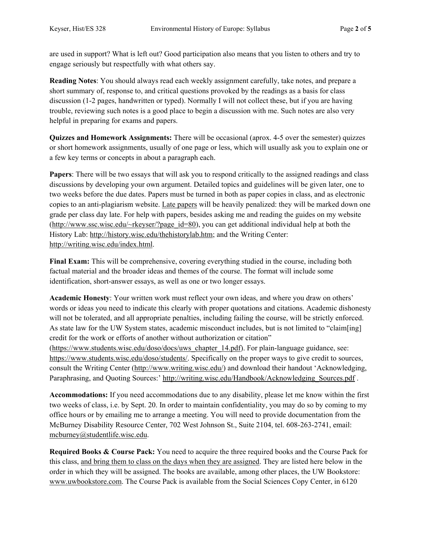are used in support? What is left out? Good participation also means that you listen to others and try to engage seriously but respectfully with what others say.

**Reading Notes**: You should always read each weekly assignment carefully, take notes, and prepare a short summary of, response to, and critical questions provoked by the readings as a basis for class discussion (1-2 pages, handwritten or typed). Normally I will not collect these, but if you are having trouble, reviewing such notes is a good place to begin a discussion with me. Such notes are also very helpful in preparing for exams and papers.

**Quizzes and Homework Assignments:** There will be occasional (aprox. 4-5 over the semester) quizzes or short homework assignments, usually of one page or less, which will usually ask you to explain one or a few key terms or concepts in about a paragraph each.

**Papers**: There will be two essays that will ask you to respond critically to the assigned readings and class discussions by developing your own argument. Detailed topics and guidelines will be given later, one to two weeks before the due dates. Papers must be turned in both as paper copies in class, and as electronic copies to an anti-plagiarism website. Late papers will be heavily penalized: they will be marked down one grade per class day late. For help with papers, besides asking me and reading the guides on my website (http://www.ssc.wisc.edu/~rkeyser/?page\_id=80), you can get additional individual help at both the History Lab: http://history.wisc.edu/thehistorylab.htm; and the Writing Center: http://writing.wisc.edu/index.html.

**Final Exam:** This will be comprehensive, covering everything studied in the course, including both factual material and the broader ideas and themes of the course. The format will include some identification, short-answer essays, as well as one or two longer essays.

**Academic Honesty**: Your written work must reflect your own ideas, and where you draw on others' words or ideas you need to indicate this clearly with proper quotations and citations. Academic dishonesty will not be tolerated, and all appropriate penalties, including failing the course, will be strictly enforced. As state law for the UW System states, academic misconduct includes, but is not limited to "claim[ing] credit for the work or efforts of another without authorization or citation"

(https://www.students.wisc.edu/doso/docs/uws\_chapter\_14.pdf). For plain-language guidance, see: https://www.students.wisc.edu/doso/students/. Specifically on the proper ways to give credit to sources, consult the Writing Center (http://www.writing.wisc.edu/) and download their handout 'Acknowledging, Paraphrasing, and Quoting Sources:' http://writing.wisc.edu/Handbook/Acknowledging Sources.pdf .

**Accommodations:** If you need accommodations due to any disability, please let me know within the first two weeks of class, i.e. by Sept. 20. In order to maintain confidentiality, you may do so by coming to my office hours or by emailing me to arrange a meeting. You will need to provide documentation from the McBurney Disability Resource Center, 702 West Johnson St., Suite 2104, tel. 608-263-2741, email: mcburney@studentlife.wisc.edu.

**Required Books & Course Pack:** You need to acquire the three required books and the Course Pack for this class, and bring them to class on the days when they are assigned. They are listed here below in the order in which they will be assigned. The books are available, among other places, the UW Bookstore: www.uwbookstore.com. The Course Pack is available from the Social Sciences Copy Center, in 6120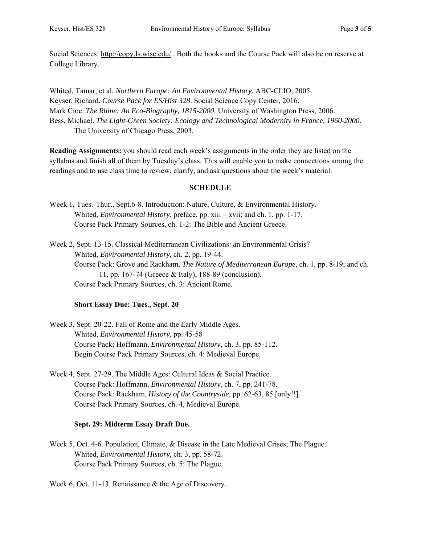Social Sciences: http://copy.ls.wisc.edu/ . Both the books and the Course Pack will also be on reserve at College Library.

Whited, Tamar, et al. *Northern Europe: An Environmental History*. ABC-CLIO, 2005. Keyser, Richard. *Course Pack for ES/Hist 328*. Social Science Copy Center, 2016. Mark Cioc. *The Rhine: An Eco-Biography, 1815-2000*. University of Washington Press, 2006. Bess, Michael. *The Light-Green Society: Ecology and Technological Modernity in France, 1960-2000*. The University of Chicago Press, 2003.

**Reading Assignments:** you should read each week's assignments in the order they are listed on the syllabus and finish all of them by Tuesday's class. This will enable you to make connections among the readings and to use class time to review, clarify, and ask questions about the week's material.

## **SCHEDULE**

- Week 1, Tues.-Thur., Sept.6-8. Introduction: Nature, Culture, & Environmental History. Whited, *Environmental History*, preface, pp. xiii – xvii; and ch. 1, pp. 1-17. Course Pack Primary Sources, ch. 1-2: The Bible and Ancient Greece.
- Week 2, Sept. 13-15. Classical Mediterranean Civilizations: an Environmental Crisis? Whited, *Environmental History*, ch. 2, pp. 19-44. Course Pack: Grove and Rackham, *The Nature of Mediterranean Europe*, ch. 1, pp. 8-19; and ch. 11, pp. 167-74 (Greece & Italy), 188-89 (conclusion). Course Pack Primary Sources, ch. 3: Ancient Rome.

## **Short Essay Due: Tues., Sept. 20**

- Week 3, Sept. 20-22. Fall of Rome and the Early Middle Ages. Whited, *Environmental History*, pp. 45-58 Course Pack; Hoffmann, *Environmental History*, ch. 3, pp. 85-112. Begin Course Pack Primary Sources, ch. 4: Medieval Europe.
- Week 4, Sept. 27-29. The Middle Ages: Cultural Ideas & Social Practice. Course Pack: Hoffmann, *Environmental History*, ch. 7, pp. 241-78. Course Pack: Rackham, *History of the Countryside*, pp. 62-63, 85 [only!!]. Course Pack Primary Sources, ch. 4, Medieval Europe.

## **Sept. 29: Midterm Essay Draft Due.**

Week 5, Oct. 4-6. Population, Climate, & Disease in the Late Medieval Crises; The Plague. Whited, *Environmental History*, ch. 3, pp. 58-72. Course Pack Primary Sources, ch. 5: The Plague.

Week 6, Oct. 11-13. Renaissance & the Age of Discovery.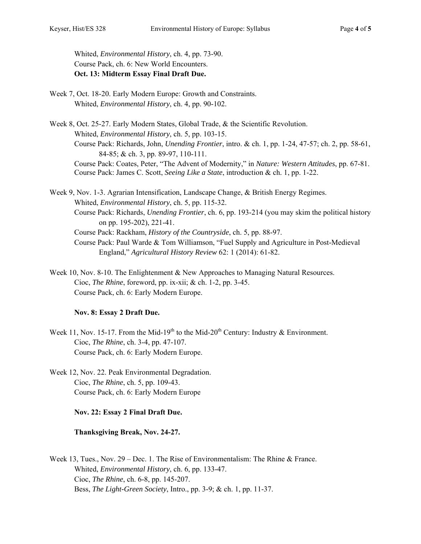Whited, *Environmental History*, ch. 4, pp. 73-90. Course Pack, ch. 6: New World Encounters. **Oct. 13: Midterm Essay Final Draft Due.** 

- Week 7, Oct. 18-20. Early Modern Europe: Growth and Constraints. Whited, *Environmental History*, ch. 4, pp. 90-102.
- Week 8, Oct. 25-27. Early Modern States, Global Trade, & the Scientific Revolution. Whited, *Environmental History*, ch. 5, pp. 103-15. Course Pack: Richards, John, *Unending Frontier*, intro. & ch. 1, pp. 1-24, 47-57; ch. 2, pp. 58-61, 84-85; & ch. 3, pp. 89-97, 110-111. Course Pack: Coates, Peter, "The Advent of Modernity," in *Nature: Western Attitudes*, pp. 67-81. Course Pack: James C. Scott, *Seeing Like a State*, introduction & ch. 1, pp. 1-22.

Week 9, Nov. 1-3. Agrarian Intensification, Landscape Change, & British Energy Regimes. Whited, *Environmental History*, ch. 5, pp. 115-32. Course Pack: Richards, *Unending Frontier*, ch. 6, pp. 193-214 (you may skim the political history on pp. 195-202), 221-41. Course Pack: Rackham, *History of the Countryside*, ch. 5, pp. 88-97. Course Pack: Paul Warde & Tom Williamson, "Fuel Supply and Agriculture in Post-Medieval England," *Agricultural History Review* 62: 1 (2014): 61-82.

Week 10, Nov. 8-10. The Enlightenment & New Approaches to Managing Natural Resources. Cioc, *The Rhine*, foreword, pp. ix-xii; & ch. 1-2, pp. 3-45. Course Pack, ch. 6: Early Modern Europe.

### **Nov. 8: Essay 2 Draft Due.**

- Week 11, Nov. 15-17. From the Mid-19<sup>th</sup> to the Mid-20<sup>th</sup> Century: Industry & Environment. Cioc, *The Rhine*, ch. 3-4, pp. 47-107. Course Pack, ch. 6: Early Modern Europe.
- Week 12, Nov. 22. Peak Environmental Degradation. Cioc, *The Rhine*, ch. 5, pp. 109-43. Course Pack, ch. 6: Early Modern Europe

## **Nov. 22: Essay 2 Final Draft Due.**

## **Thanksgiving Break, Nov. 24-27.**

Week 13, Tues., Nov. 29 – Dec. 1. The Rise of Environmentalism: The Rhine & France. Whited, *Environmental History*, ch. 6, pp. 133-47. Cioc, *The Rhine*, ch. 6-8, pp. 145-207. Bess, *The Light-Green Society*, Intro., pp. 3-9; & ch. 1, pp. 11-37.